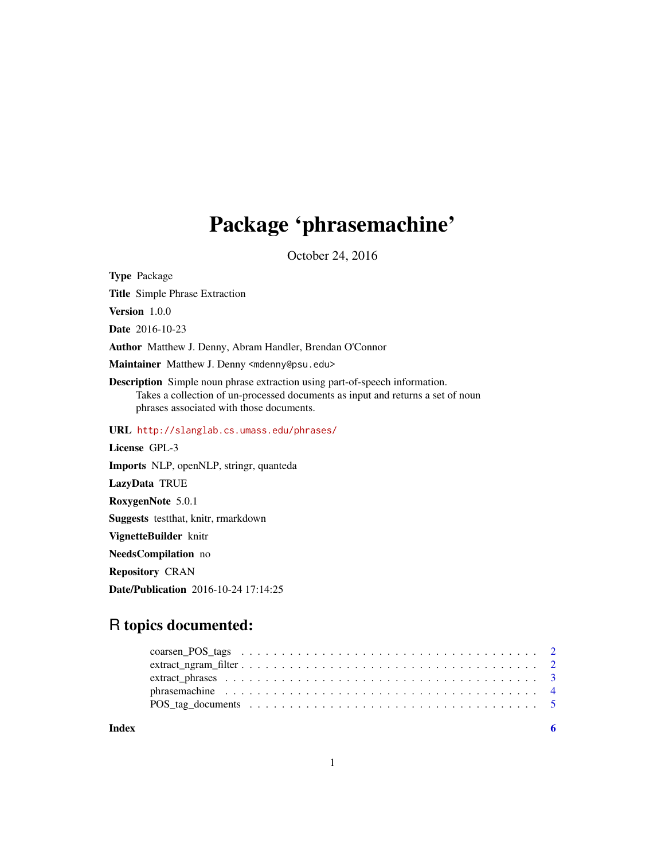## Package 'phrasemachine'

October 24, 2016

Type Package Title Simple Phrase Extraction Version 1.0.0 Date 2016-10-23 Author Matthew J. Denny, Abram Handler, Brendan O'Connor Maintainer Matthew J. Denny <mdenny@psu.edu> Description Simple noun phrase extraction using part-of-speech information. Takes a collection of un-processed documents as input and returns a set of noun phrases associated with those documents. URL <http://slanglab.cs.umass.edu/phrases/> License GPL-3 Imports NLP, openNLP, stringr, quanteda LazyData TRUE RoxygenNote 5.0.1 Suggests testthat, knitr, rmarkdown VignetteBuilder knitr NeedsCompilation no Repository CRAN Date/Publication 2016-10-24 17:14:25

### R topics documented:

| Index |  |
|-------|--|
|       |  |
|       |  |
|       |  |
|       |  |
|       |  |

1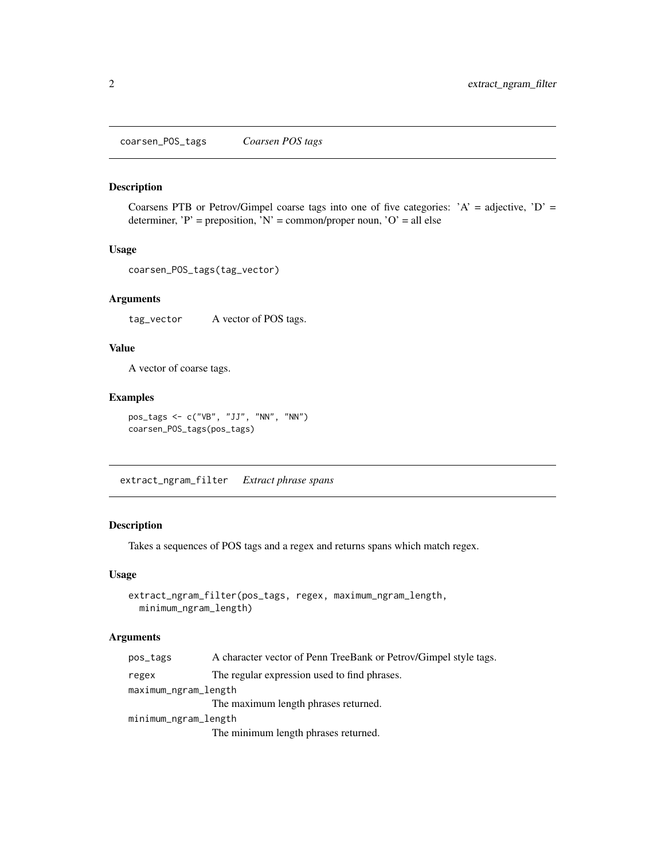<span id="page-1-0"></span>coarsen\_POS\_tags *Coarsen POS tags*

#### Description

Coarsens PTB or Petrov/Gimpel coarse tags into one of five categories:  $'A' =$  adjective,  $'D' =$ determiner, 'P' = preposition, 'N' = common/proper noun, 'O' = all else

#### Usage

```
coarsen_POS_tags(tag_vector)
```
#### Arguments

tag\_vector A vector of POS tags.

#### Value

A vector of coarse tags.

#### Examples

```
pos_tags <- c("VB", "JJ", "NN", "NN")
coarsen_POS_tags(pos_tags)
```
extract\_ngram\_filter *Extract phrase spans*

#### Description

Takes a sequences of POS tags and a regex and returns spans which match regex.

#### Usage

```
extract_ngram_filter(pos_tags, regex, maximum_ngram_length,
 minimum_ngram_length)
```
#### Arguments

| pos_tags             | A character vector of Penn TreeBank or Petrov/Gimpel style tags. |
|----------------------|------------------------------------------------------------------|
| regex                | The regular expression used to find phrases.                     |
| maximum_ngram_length |                                                                  |
|                      | The maximum length phrases returned.                             |
| minimum_ngram_length |                                                                  |
|                      | The minimum length phrases returned.                             |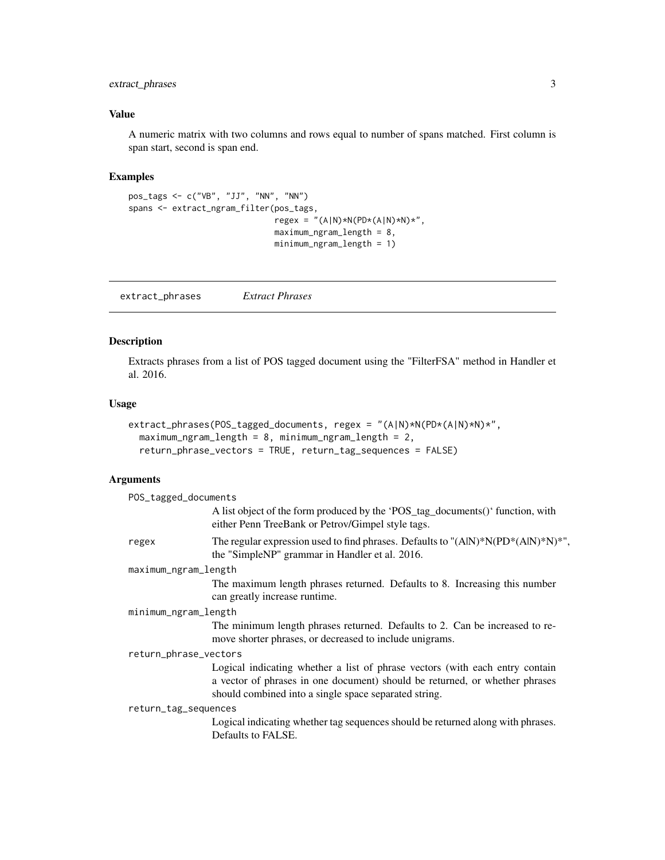#### <span id="page-2-0"></span>extract\_phrases 3

#### Value

A numeric matrix with two columns and rows equal to number of spans matched. First column is span start, second is span end.

#### Examples

```
pos_tags <- c("VB", "JJ", "NN", "NN")
spans <- extract_ngram_filter(pos_tags,
                               regex = " (A|N) * N (PD * (A|N) * N) *",maximum_ngram_length = 8,
                               minimum_ngram_length = 1)
```
extract\_phrases *Extract Phrases*

#### Description

Extracts phrases from a list of POS tagged document using the "FilterFSA" method in Handler et al. 2016.

#### Usage

```
extract_phrases(POS_tagged_documents, regex = "(A|N)*N(PD*(A|N)*N)*",
 maximum_ngram_length = 8, minimum_ngram = 2,
  return_phrase_vectors = TRUE, return_tag_sequences = FALSE)
```
#### Arguments

| POS_tagged_documents  |                                                                                                                                                                                                                      |
|-----------------------|----------------------------------------------------------------------------------------------------------------------------------------------------------------------------------------------------------------------|
|                       | A list object of the form produced by the 'POS_tag_documents()' function, with<br>either Penn TreeBank or Petrov/Gimpel style tags.                                                                                  |
| regex                 | The regular expression used to find phrases. Defaults to "(AlN)*N(PD*(AlN)*N)*",<br>the "SimpleNP" grammar in Handler et al. 2016.                                                                                   |
| maximum_ngram_length  |                                                                                                                                                                                                                      |
|                       | The maximum length phrases returned. Defaults to 8. Increasing this number<br>can greatly increase runtime.                                                                                                          |
| minimum_ngram_length  |                                                                                                                                                                                                                      |
|                       | The minimum length phrases returned. Defaults to 2. Can be increased to re-<br>move shorter phrases, or decreased to include unigrams.                                                                               |
| return_phrase_vectors |                                                                                                                                                                                                                      |
|                       | Logical indicating whether a list of phrase vectors (with each entry contain<br>a vector of phrases in one document) should be returned, or whether phrases<br>should combined into a single space separated string. |
| return_tag_sequences  |                                                                                                                                                                                                                      |
|                       | Logical indicating whether tag sequences should be returned along with phrases.<br>Defaults to FALSE.                                                                                                                |
|                       |                                                                                                                                                                                                                      |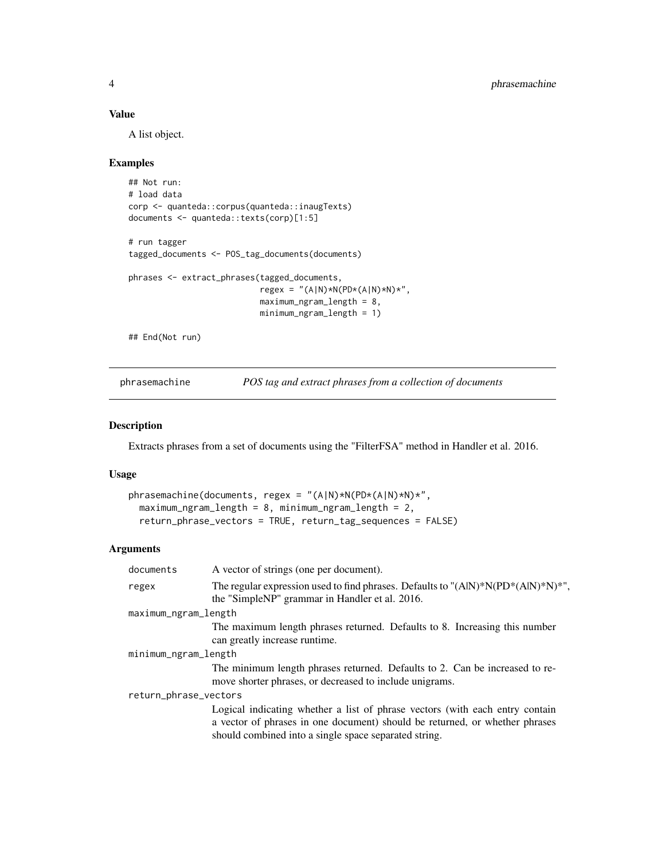#### <span id="page-3-0"></span>Value

A list object.

#### Examples

```
## Not run:
# load data
corp <- quanteda::corpus(quanteda::inaugTexts)
documents <- quanteda::texts(corp)[1:5]
# run tagger
tagged_documents <- POS_tag_documents(documents)
phrases <- extract_phrases(tagged_documents,
                           regex = "(A|N)*N(PD*(A|N)*N)*",
                           maximum_ngram_length = 8,
                           minimum_ngram_length = 1)
## End(Not run)
```
phrasemachine *POS tag and extract phrases from a collection of documents*

#### Description

Extracts phrases from a set of documents using the "FilterFSA" method in Handler et al. 2016.

#### Usage

```
phrasemachine(documents, regex = "(A|N)*N(PD*(A|N)*N)*",
 maximum_ngram_length = 8, minimum_ngram = 2,
 return_phrase_vectors = TRUE, return_tag_sequences = FALSE)
```
#### Arguments

| documents             | A vector of strings (one per document).                                                                                                                                                                              |
|-----------------------|----------------------------------------------------------------------------------------------------------------------------------------------------------------------------------------------------------------------|
| regex                 | The regular expression used to find phrases. Defaults to " $(A N)*N(PD*(A N)*N)*"$ ,<br>the "SimpleNP" grammar in Handler et al. 2016.                                                                               |
| maximum_ngram_length  |                                                                                                                                                                                                                      |
|                       | The maximum length phrases returned. Defaults to 8. Increasing this number<br>can greatly increase runtime.                                                                                                          |
| minimum_ngram_length  |                                                                                                                                                                                                                      |
|                       | The minimum length phrases returned. Defaults to 2. Can be increased to re-<br>move shorter phrases, or decreased to include unigrams.                                                                               |
| return_phrase_vectors |                                                                                                                                                                                                                      |
|                       | Logical indicating whether a list of phrase vectors (with each entry contain<br>a vector of phrases in one document) should be returned, or whether phrases<br>should combined into a single space separated string. |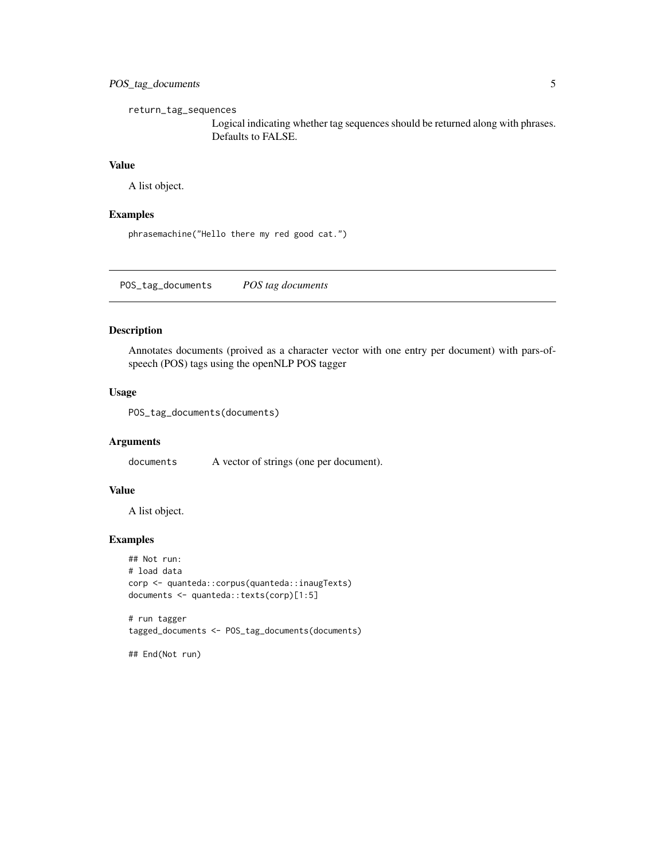#### <span id="page-4-0"></span>POS\_tag\_documents 5

return\_tag\_sequences

Logical indicating whether tag sequences should be returned along with phrases. Defaults to FALSE.

#### Value

A list object.

#### Examples

phrasemachine("Hello there my red good cat.")

POS\_tag\_documents *POS tag documents*

#### Description

Annotates documents (proived as a character vector with one entry per document) with pars-ofspeech (POS) tags using the openNLP POS tagger

#### Usage

```
POS_tag_documents(documents)
```
#### Arguments

documents A vector of strings (one per document).

#### Value

A list object.

#### Examples

```
## Not run:
# load data
corp <- quanteda::corpus(quanteda::inaugTexts)
documents <- quanteda::texts(corp)[1:5]
```

```
# run tagger
tagged_documents <- POS_tag_documents(documents)
```
## End(Not run)